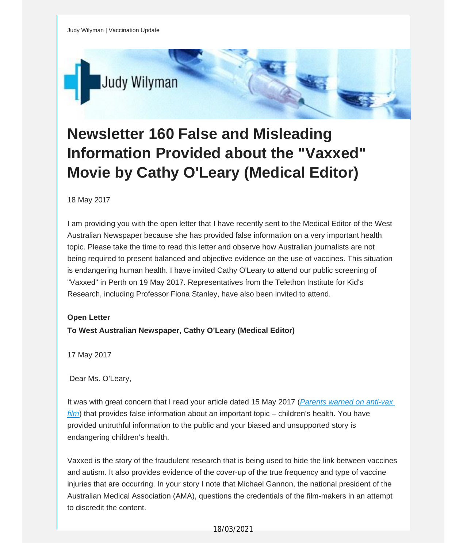

# **Newsletter 160 False and Misleading Information Provided about the "Vaxxed" Movie by Cathy O'Leary (Medical Editor)**

## 18 May 2017

I am providing you with the open letter that I have recently sent to the Medical Editor of the West Australian Newspaper because she has provided false information on a very important health topic. Please take the time to read this letter and observe how Australian journalists are not being required to present balanced and objective evidence on the use of vaccines. This situation is endangering human health. I have invited Cathy O'Leary to attend our public screening of "Vaxxed" in Perth on 19 May 2017. Representatives from the Telethon Institute for Kid's Research, including Professor Fiona Stanley, have also been invited to attend.

## **Open Letter**

**To West Australian Newspaper, Cathy O'Leary (Medical Editor)**

17 May 2017

Dear Ms. O'Leary,

It was with great concern that I read your article dated 15 May 2017 (*Parents warned on [anti-vax](http://vaccinationdecisions.us8.list-manage.com/track/click?u=f20605fde3732e41929f4a3f2&id=41f8c002a4&e=fec8337d3c) [film](http://vaccinationdecisions.us8.list-manage.com/track/click?u=f20605fde3732e41929f4a3f2&id=41f8c002a4&e=fec8337d3c)*) that provides false information about an important topic – children's health. You have provided untruthful information to the public and your biased and unsupported story is endangering children's health.

Vaxxed is the story of the fraudulent research that is being used to hide the link between vaccines and autism. It also provides evidence of the cover-up of the true frequency and type of vaccine injuries that are occurring. In your story I note that Michael Gannon, the national president of the Australian Medical Association (AMA), questions the credentials of the film-makers in an attempt to discredit the content.

## 18/03/2021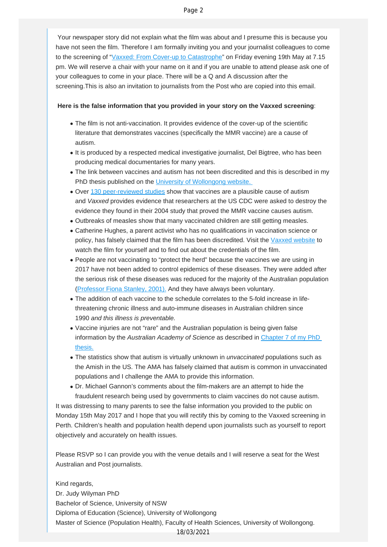Your newspaper story did not explain what the film was about and I presume this is because you have not seen the film. Therefore I am formally inviting you and your journalist colleagues to come to the screening of ["Vaxxed: From Cover-up to Catastrophe](http://vaccinationdecisions.us8.list-manage1.com/track/click?u=f20605fde3732e41929f4a3f2&id=01a1f7ec73&e=fec8337d3c)" on Friday evening 19th May at 7.15 pm. We will reserve a chair with your name on it and if you are unable to attend please ask one of your colleagues to come in your place. There will be a Q and A discussion after the screening.This is also an invitation to journalists from the Post who are copied into this email.

### **Here is the false information that you provided in your story on the Vaxxed screening**:

- The film is not anti-vaccination. It provides evidence of the cover-up of the scientific literature that demonstrates vaccines (specifically the MMR vaccine) are a cause of autism.
- It is produced by a respected medical investigative journalist, Del Bigtree, who has been producing medical documentaries for many years.
- The link between vaccines and autism has not been discredited and this is described in my PhD thesis published on the [University of Wollongong website.](http://vaccinationdecisions.us8.list-manage.com/track/click?u=f20605fde3732e41929f4a3f2&id=2a05e93cce&e=fec8337d3c)
- Over [130 peer-reviewed studies](http://vaccinationdecisions.us8.list-manage.com/track/click?u=f20605fde3732e41929f4a3f2&id=6dc9da85b6&e=fec8337d3c) show that vaccines are a plausible cause of autism and *Vaxxed* provides evidence that researchers at the US CDC were asked to destroy the evidence they found in their 2004 study that proved the MMR vaccine causes autism.
- Outbreaks of measles show that many vaccinated children are still getting measles.
- Catherine Hughes, a parent activist who has no qualifications in vaccination science or policy, has falsely claimed that the film has been discredited. Visit the [Vaxxed website](http://vaccinationdecisions.us8.list-manage.com/track/click?u=f20605fde3732e41929f4a3f2&id=af23dd3a72&e=fec8337d3c) to watch the film for yourself and to find out about the credentials of the film.
- People are not vaccinating to "protect the herd" because the vaccines we are using in 2017 have not been added to control epidemics of these diseases. They were added after the serious risk of these diseases was reduced for the majority of the Australian population [\(Professor Fiona Stanley, 2001\).](http://vaccinationdecisions.us8.list-manage.com/track/click?u=f20605fde3732e41929f4a3f2&id=07e4a5ffb9&e=fec8337d3c) And they have always been voluntary.
- The addition of each vaccine to the schedule correlates to the 5-fold increase in lifethreatening chronic illness and auto-immune diseases in Australian children since 1990 *and this illness is preventable.*
- Vaccine injuries are not "rare" and the Australian population is being given false information by the *Australian Academy of Science* as described in [Chapter 7 of my PhD](http://vaccinationdecisions.us8.list-manage1.com/track/click?u=f20605fde3732e41929f4a3f2&id=ed76926781&e=fec8337d3c) [thesis.](http://vaccinationdecisions.us8.list-manage1.com/track/click?u=f20605fde3732e41929f4a3f2&id=ed76926781&e=fec8337d3c)
- The statistics show that autism is virtually unknown in *unvaccinated* populations such as the Amish in the US. The AMA has falsely claimed that autism is common in unvaccinated populations and I challenge the AMA to provide this information.
- Dr. Michael Gannon's comments about the film-makers are an attempt to hide the fraudulent research being used by governments to claim vaccines do not cause autism.

It was distressing to many parents to see the false information you provided to the public on Monday 15th May 2017 and I hope that you will rectify this by coming to the Vaxxed screening in Perth. Children's health and population health depend upon journalists such as yourself to report objectively and accurately on health issues.

Please RSVP so I can provide you with the venue details and I will reserve a seat for the West Australian and Post journalists.

Kind regards, Dr. Judy Wilyman PhD Bachelor of Science, University of NSW Diploma of Education (Science), University of Wollongong Master of Science (Population Health), Faculty of Health Sciences, University of Wollongong. 18/03/2021